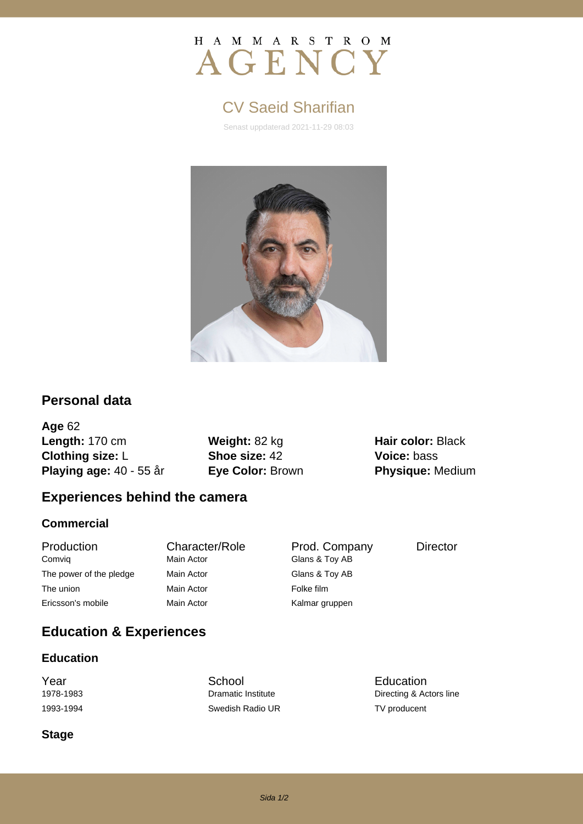# H A M M A R S T R O M AGENCY

# CV Saeid Sharifian

Senast uppdaterad 2021-11-29 08:03



# **Personal data**

**Age** 62 **Length:** 170 cm **Weight:** 82 kg **Hair color:** Black **Clothing size:** L **Shoe size:** 42 **Voice:** bass **Playing age:** 40 - 55 år **Eye Color:** Brown **Physique:** Medium

# **Experiences behind the camera**

## **Commercial**

Production Character/Role Prod. Company Director Comviq Main Actor Comviq Comviq The power of the pledge Main Actor Glans & Toy AB The union **Main Actor** Main Actor **Folke film** Ericsson's mobile **Main Actor** Main Actor Kalmar gruppen

# **Education & Experiences**

#### **Education**

**The School School**<br>
The School Education<br>
The Directing & According Premiers Institute<br>
Directing & According According Premiers Institute 1993-1994 Swedish Radio UR TV producent

Directing & Actors line

#### **Stage**